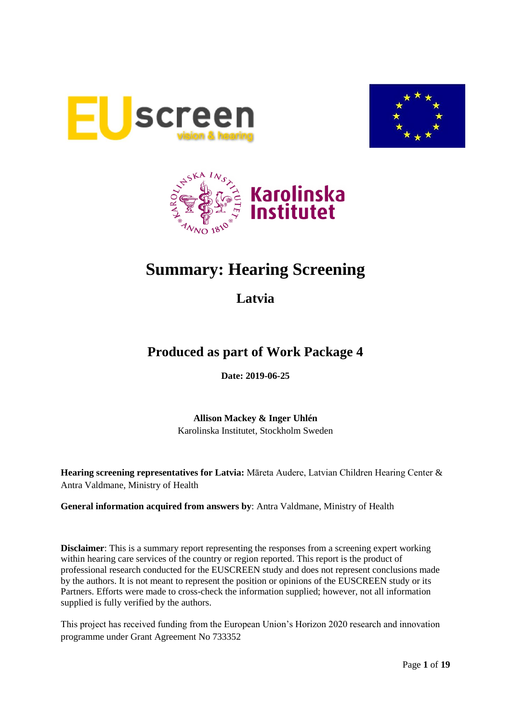





# **Summary: Hearing Screening**

**Latvia**

## **Produced as part of Work Package 4**

**Date: 2019-06-25**

**Allison Mackey & Inger Uhlén** Karolinska Institutet, Stockholm Sweden

**Hearing screening representatives for Latvia:** Māreta Audere, Latvian Children Hearing Center & Antra Valdmane, Ministry of Health

**General information acquired from answers by**: Antra Valdmane, Ministry of Health

**Disclaimer**: This is a summary report representing the responses from a screening expert working within hearing care services of the country or region reported. This report is the product of professional research conducted for the EUSCREEN study and does not represent conclusions made by the authors. It is not meant to represent the position or opinions of the EUSCREEN study or its Partners. Efforts were made to cross-check the information supplied; however, not all information supplied is fully verified by the authors.

This project has received funding from the European Union's Horizon 2020 research and innovation programme under Grant Agreement No 733352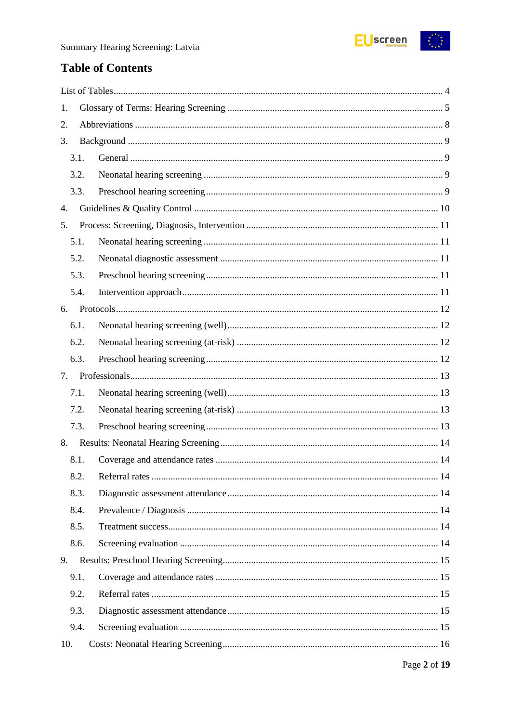

## **Table of Contents**

| 1.   |  |
|------|--|
| 2.   |  |
| 3.   |  |
| 3.1. |  |
| 3.2. |  |
| 3.3. |  |
| 4.   |  |
| 5.   |  |
| 5.1. |  |
| 5.2. |  |
| 5.3. |  |
| 5.4. |  |
| 6.   |  |
| 6.1. |  |
| 6.2. |  |
| 6.3. |  |
| 7.   |  |
| 7.1. |  |
| 7.2. |  |
| 7.3. |  |
| 8.   |  |
| 8.1. |  |
| 8.2. |  |
| 8.3. |  |
| 8.4. |  |
| 8.5. |  |
| 8.6. |  |
| 9.   |  |
| 9.1. |  |
| 9.2. |  |
| 9.3. |  |
| 9.4. |  |
| 10.  |  |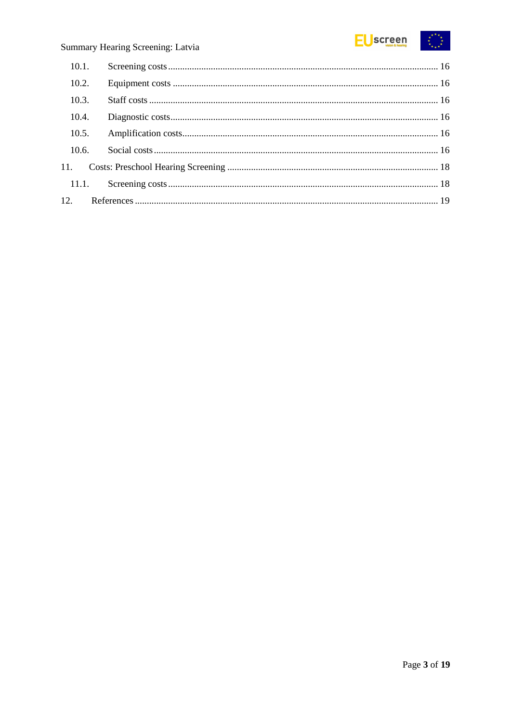

| 10.1. |  |
|-------|--|
| 10.2. |  |
| 10.3. |  |
| 10.4. |  |
| 10.5. |  |
| 10.6. |  |
|       |  |
|       |  |
|       |  |
|       |  |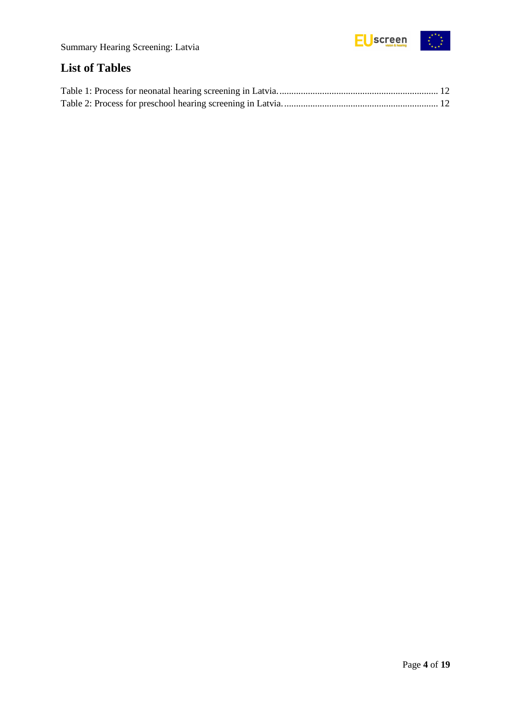

## <span id="page-3-0"></span>**List of Tables**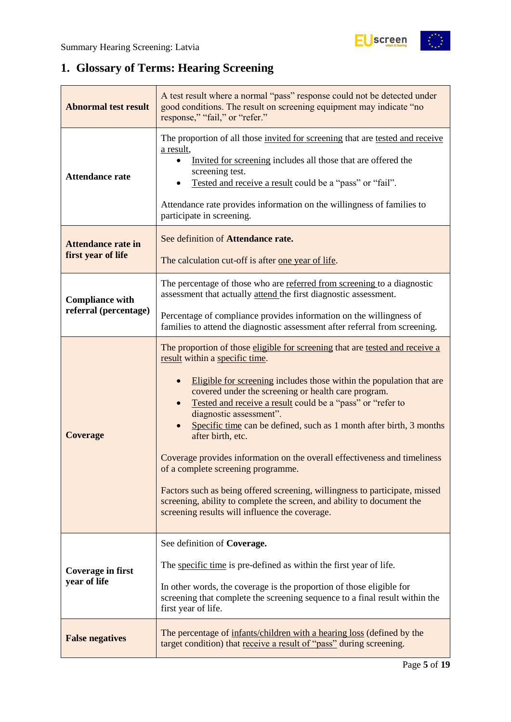$\frac{1}{2}$ 

## <span id="page-4-0"></span>**1. Glossary of Terms: Hearing Screening**

| <b>Abnormal test result</b>                     | A test result where a normal "pass" response could not be detected under<br>good conditions. The result on screening equipment may indicate "no<br>response," "fail," or "refer."                                                                                                                                                                                                                                                                                                                                                                                                                                                                                                                                                                                |  |  |  |
|-------------------------------------------------|------------------------------------------------------------------------------------------------------------------------------------------------------------------------------------------------------------------------------------------------------------------------------------------------------------------------------------------------------------------------------------------------------------------------------------------------------------------------------------------------------------------------------------------------------------------------------------------------------------------------------------------------------------------------------------------------------------------------------------------------------------------|--|--|--|
| <b>Attendance rate</b>                          | The proportion of all those invited for screening that are tested and receive<br>a result,<br>Invited for screening includes all those that are offered the<br>screening test.<br>Tested and receive a result could be a "pass" or "fail".<br>Attendance rate provides information on the willingness of families to<br>participate in screening.                                                                                                                                                                                                                                                                                                                                                                                                                |  |  |  |
| <b>Attendance rate in</b><br>first year of life | See definition of Attendance rate.<br>The calculation cut-off is after one year of life.                                                                                                                                                                                                                                                                                                                                                                                                                                                                                                                                                                                                                                                                         |  |  |  |
| <b>Compliance with</b>                          | The percentage of those who are referred from screening to a diagnostic<br>assessment that actually attend the first diagnostic assessment.                                                                                                                                                                                                                                                                                                                                                                                                                                                                                                                                                                                                                      |  |  |  |
| referral (percentage)                           | Percentage of compliance provides information on the willingness of<br>families to attend the diagnostic assessment after referral from screening.                                                                                                                                                                                                                                                                                                                                                                                                                                                                                                                                                                                                               |  |  |  |
| <b>Coverage</b>                                 | The proportion of those eligible for screening that are tested and receive a<br>result within a specific time.<br>Eligible for screening includes those within the population that are<br>covered under the screening or health care program.<br>Tested and receive a result could be a "pass" or "refer to<br>diagnostic assessment".<br>Specific time can be defined, such as 1 month after birth, 3 months<br>after birth, etc.<br>Coverage provides information on the overall effectiveness and timeliness<br>of a complete screening programme.<br>Factors such as being offered screening, willingness to participate, missed<br>screening, ability to complete the screen, and ability to document the<br>screening results will influence the coverage. |  |  |  |
| Coverage in first<br>year of life               | See definition of Coverage.<br>The specific time is pre-defined as within the first year of life.<br>In other words, the coverage is the proportion of those eligible for<br>screening that complete the screening sequence to a final result within the<br>first year of life.                                                                                                                                                                                                                                                                                                                                                                                                                                                                                  |  |  |  |
| <b>False negatives</b>                          | The percentage of infants/children with a hearing loss (defined by the<br>target condition) that receive a result of "pass" during screening.                                                                                                                                                                                                                                                                                                                                                                                                                                                                                                                                                                                                                    |  |  |  |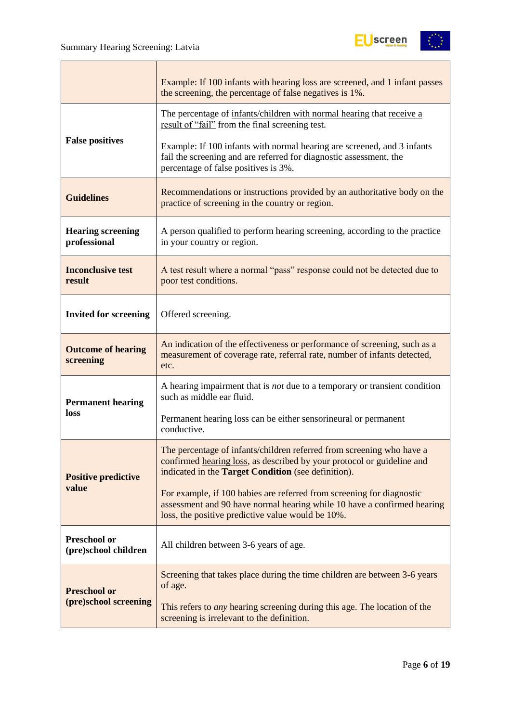

|                                          | Example: If 100 infants with hearing loss are screened, and 1 infant passes<br>the screening, the percentage of false negatives is 1%.                                                                        |  |  |  |
|------------------------------------------|---------------------------------------------------------------------------------------------------------------------------------------------------------------------------------------------------------------|--|--|--|
|                                          | The percentage of infants/children with normal hearing that receive a<br>result of "fail" from the final screening test.                                                                                      |  |  |  |
| <b>False positives</b>                   | Example: If 100 infants with normal hearing are screened, and 3 infants<br>fail the screening and are referred for diagnostic assessment, the<br>percentage of false positives is 3%.                         |  |  |  |
| <b>Guidelines</b>                        | Recommendations or instructions provided by an authoritative body on the<br>practice of screening in the country or region.                                                                                   |  |  |  |
| <b>Hearing screening</b><br>professional | A person qualified to perform hearing screening, according to the practice<br>in your country or region.                                                                                                      |  |  |  |
| <b>Inconclusive test</b><br>result       | A test result where a normal "pass" response could not be detected due to<br>poor test conditions.                                                                                                            |  |  |  |
| <b>Invited for screening</b>             | Offered screening.                                                                                                                                                                                            |  |  |  |
| <b>Outcome of hearing</b><br>screening   | An indication of the effectiveness or performance of screening, such as a<br>measurement of coverage rate, referral rate, number of infants detected,<br>etc.                                                 |  |  |  |
| <b>Permanent hearing</b>                 | A hearing impairment that is <i>not</i> due to a temporary or transient condition<br>such as middle ear fluid.                                                                                                |  |  |  |
| loss                                     | Permanent hearing loss can be either sensorineural or permanent<br>conductive.                                                                                                                                |  |  |  |
| <b>Positive predictive</b>               | The percentage of infants/children referred from screening who have a<br>confirmed hearing loss, as described by your protocol or guideline and<br>indicated in the <b>Target Condition</b> (see definition). |  |  |  |
| value                                    | For example, if 100 babies are referred from screening for diagnostic<br>assessment and 90 have normal hearing while 10 have a confirmed hearing<br>loss, the positive predictive value would be 10%.         |  |  |  |
| Preschool or<br>(pre)school children     | All children between 3-6 years of age.                                                                                                                                                                        |  |  |  |
| <b>Preschool or</b>                      | Screening that takes place during the time children are between 3-6 years<br>of age.                                                                                                                          |  |  |  |
| (pre)school screening                    | This refers to <i>any</i> hearing screening during this age. The location of the<br>screening is irrelevant to the definition.                                                                                |  |  |  |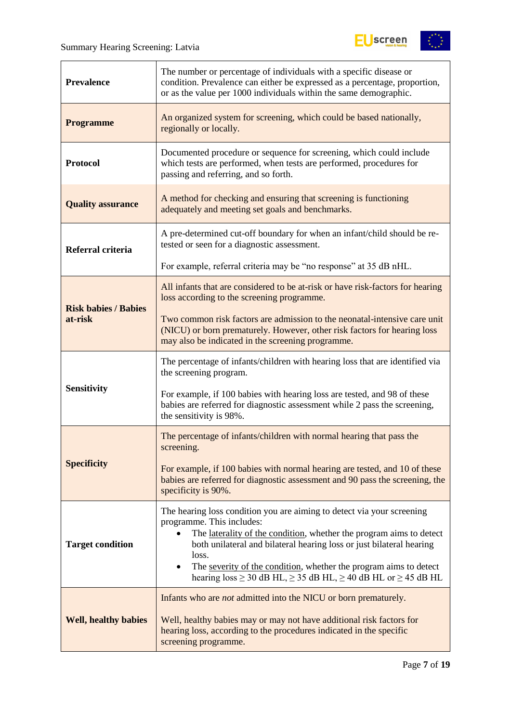

| <b>Prevalence</b>           | The number or percentage of individuals with a specific disease or<br>condition. Prevalence can either be expressed as a percentage, proportion,<br>or as the value per 1000 individuals within the same demographic.                                                                                                                                                                                                                   |  |  |  |
|-----------------------------|-----------------------------------------------------------------------------------------------------------------------------------------------------------------------------------------------------------------------------------------------------------------------------------------------------------------------------------------------------------------------------------------------------------------------------------------|--|--|--|
| <b>Programme</b>            | An organized system for screening, which could be based nationally,<br>regionally or locally.                                                                                                                                                                                                                                                                                                                                           |  |  |  |
| <b>Protocol</b>             | Documented procedure or sequence for screening, which could include<br>which tests are performed, when tests are performed, procedures for<br>passing and referring, and so forth.                                                                                                                                                                                                                                                      |  |  |  |
| <b>Quality assurance</b>    | A method for checking and ensuring that screening is functioning<br>adequately and meeting set goals and benchmarks.                                                                                                                                                                                                                                                                                                                    |  |  |  |
| Referral criteria           | A pre-determined cut-off boundary for when an infant/child should be re-<br>tested or seen for a diagnostic assessment.                                                                                                                                                                                                                                                                                                                 |  |  |  |
|                             | For example, referral criteria may be "no response" at 35 dB nHL.                                                                                                                                                                                                                                                                                                                                                                       |  |  |  |
| <b>Risk babies / Babies</b> | All infants that are considered to be at-risk or have risk-factors for hearing<br>loss according to the screening programme.                                                                                                                                                                                                                                                                                                            |  |  |  |
| at-risk                     | Two common risk factors are admission to the neonatal-intensive care unit<br>(NICU) or born prematurely. However, other risk factors for hearing loss<br>may also be indicated in the screening programme.                                                                                                                                                                                                                              |  |  |  |
|                             | The percentage of infants/children with hearing loss that are identified via<br>the screening program.                                                                                                                                                                                                                                                                                                                                  |  |  |  |
| <b>Sensitivity</b>          | For example, if 100 babies with hearing loss are tested, and 98 of these<br>babies are referred for diagnostic assessment while 2 pass the screening,<br>the sensitivity is 98%.                                                                                                                                                                                                                                                        |  |  |  |
|                             | The percentage of infants/children with normal hearing that pass the<br>screening.                                                                                                                                                                                                                                                                                                                                                      |  |  |  |
| <b>Specificity</b>          | For example, if 100 babies with normal hearing are tested, and 10 of these<br>babies are referred for diagnostic assessment and 90 pass the screening, the<br>specificity is 90%.                                                                                                                                                                                                                                                       |  |  |  |
| <b>Target condition</b>     | The hearing loss condition you are aiming to detect via your screening<br>programme. This includes:<br>The laterality of the condition, whether the program aims to detect<br>$\bullet$<br>both unilateral and bilateral hearing loss or just bilateral hearing<br>loss.<br>The severity of the condition, whether the program aims to detect<br>٠<br>hearing loss $\geq$ 30 dB HL, $\geq$ 35 dB HL, $\geq$ 40 dB HL or $\geq$ 45 dB HL |  |  |  |
| <b>Well, healthy babies</b> | Infants who are <i>not</i> admitted into the NICU or born prematurely.<br>Well, healthy babies may or may not have additional risk factors for<br>hearing loss, according to the procedures indicated in the specific<br>screening programme.                                                                                                                                                                                           |  |  |  |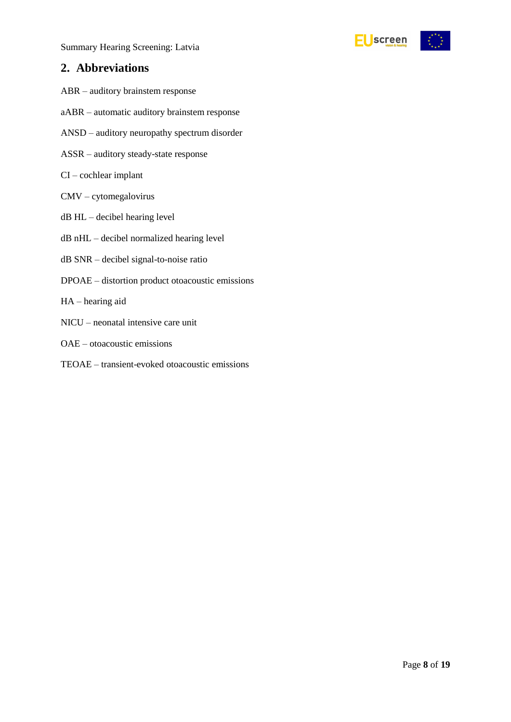



### <span id="page-7-0"></span>**2. Abbreviations**

- ABR auditory brainstem response
- aABR automatic auditory brainstem response
- ANSD auditory neuropathy spectrum disorder
- ASSR auditory steady-state response
- CI cochlear implant
- CMV cytomegalovirus
- dB HL decibel hearing level
- dB nHL decibel normalized hearing level
- dB SNR decibel signal-to-noise ratio
- DPOAE distortion product otoacoustic emissions
- HA hearing aid
- NICU neonatal intensive care unit
- OAE otoacoustic emissions
- TEOAE transient-evoked otoacoustic emissions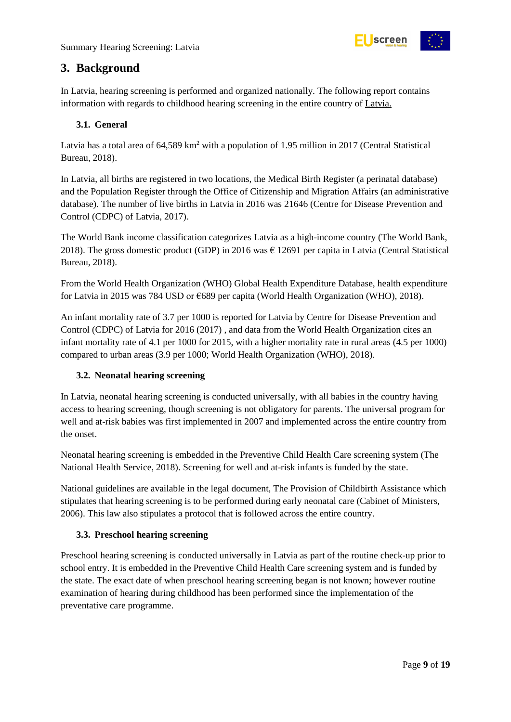

### <span id="page-8-0"></span>**3. Background**

In Latvia, hearing screening is performed and organized nationally. The following report contains information with regards to childhood hearing screening in the entire country of Latvia.

#### <span id="page-8-1"></span>**3.1. General**

Latvia has a total area of 64,589 km<sup>2</sup> with a population of 1.95 million in 2017 (Central Statistical Bureau, 2018).

In Latvia, all births are registered in two locations, the Medical Birth Register (a perinatal database) and the Population Register through the Office of Citizenship and Migration Affairs (an administrative database). The number of live births in Latvia in 2016 was 21646 (Centre for Disease Prevention and Control (CDPC) of Latvia, 2017).

The World Bank income classification categorizes Latvia as a high-income country (The World Bank, 2018). The gross domestic product (GDP) in 2016 was € 12691 per capita in Latvia (Central Statistical Bureau, 2018).

From the World Health Organization (WHO) Global Health Expenditure Database, health expenditure for Latvia in 2015 was 784 USD or €689 per capita (World Health Organization (WHO), 2018).

An infant mortality rate of 3.7 per 1000 is reported for Latvia by Centre for Disease Prevention and Control (CDPC) of Latvia for 2016 (2017) , and data from the World Health Organization cites an infant mortality rate of 4.1 per 1000 for 2015, with a higher mortality rate in rural areas (4.5 per 1000) compared to urban areas (3.9 per 1000; World Health Organization (WHO), 2018).

#### <span id="page-8-2"></span>**3.2. Neonatal hearing screening**

In Latvia, neonatal hearing screening is conducted universally, with all babies in the country having access to hearing screening, though screening is not obligatory for parents. The universal program for well and at-risk babies was first implemented in 2007 and implemented across the entire country from the onset.

Neonatal hearing screening is embedded in the Preventive Child Health Care screening system (The National Health Service, 2018). Screening for well and at-risk infants is funded by the state.

National guidelines are available in the legal document, The Provision of Childbirth Assistance which stipulates that hearing screening is to be performed during early neonatal care (Cabinet of Ministers, 2006). This law also stipulates a protocol that is followed across the entire country.

#### <span id="page-8-3"></span>**3.3. Preschool hearing screening**

Preschool hearing screening is conducted universally in Latvia as part of the routine check-up prior to school entry. It is embedded in the Preventive Child Health Care screening system and is funded by the state. The exact date of when preschool hearing screening began is not known; however routine examination of hearing during childhood has been performed since the implementation of the preventative care programme.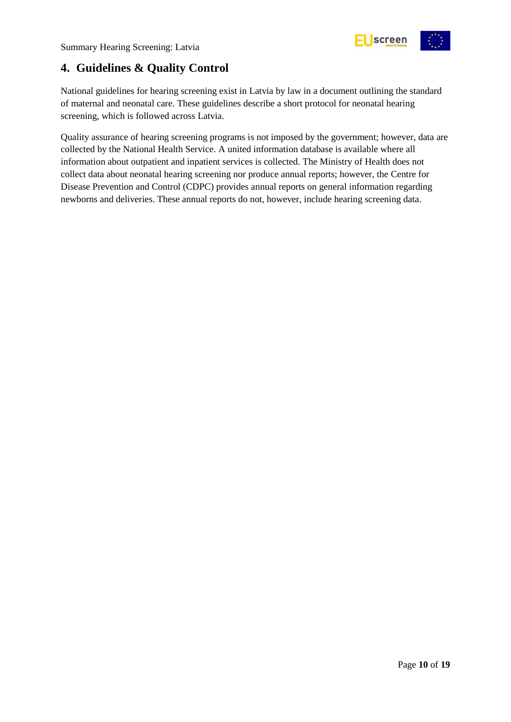

### <span id="page-9-0"></span>**4. Guidelines & Quality Control**

National guidelines for hearing screening exist in Latvia by law in a document outlining the standard of maternal and neonatal care. These guidelines describe a short protocol for neonatal hearing screening, which is followed across Latvia.

Quality assurance of hearing screening programs is not imposed by the government; however, data are collected by the National Health Service. A united information database is available where all information about outpatient and inpatient services is collected. The Ministry of Health does not collect data about neonatal hearing screening nor produce annual reports; however, the Centre for Disease Prevention and Control (CDPC) provides annual reports on general information regarding newborns and deliveries. These annual reports do not, however, include hearing screening data.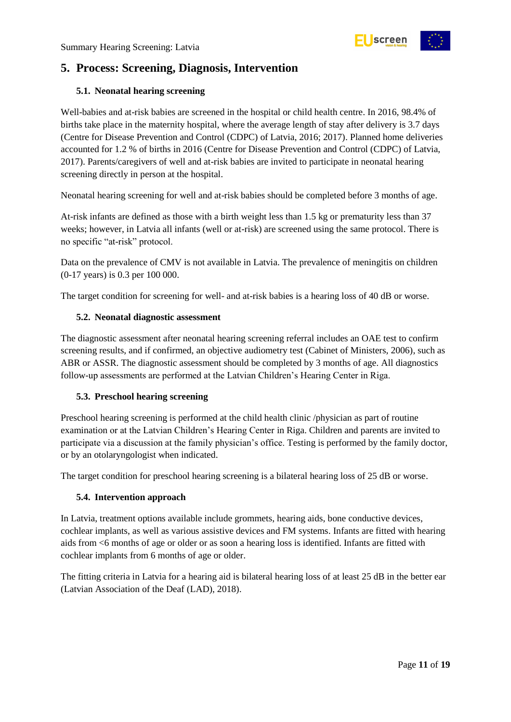

### <span id="page-10-0"></span>**5. Process: Screening, Diagnosis, Intervention**

#### <span id="page-10-1"></span>**5.1. Neonatal hearing screening**

Well-babies and at-risk babies are screened in the hospital or child health centre. In 2016, 98.4% of births take place in the maternity hospital, where the average length of stay after delivery is 3.7 days (Centre for Disease Prevention and Control (CDPC) of Latvia, 2016; 2017). Planned home deliveries accounted for 1.2 % of births in 2016 (Centre for Disease Prevention and Control (CDPC) of Latvia, 2017). Parents/caregivers of well and at-risk babies are invited to participate in neonatal hearing screening directly in person at the hospital.

Neonatal hearing screening for well and at-risk babies should be completed before 3 months of age.

At-risk infants are defined as those with a birth weight less than 1.5 kg or prematurity less than 37 weeks; however, in Latvia all infants (well or at-risk) are screened using the same protocol. There is no specific "at-risk" protocol.

Data on the prevalence of CMV is not available in Latvia. The prevalence of meningitis on children (0-17 years) is 0.3 per 100 000.

The target condition for screening for well- and at-risk babies is a hearing loss of 40 dB or worse.

#### <span id="page-10-2"></span>**5.2. Neonatal diagnostic assessment**

The diagnostic assessment after neonatal hearing screening referral includes an OAE test to confirm screening results, and if confirmed, an objective audiometry test (Cabinet of Ministers, 2006), such as ABR or ASSR. The diagnostic assessment should be completed by 3 months of age. All diagnostics follow-up assessments are performed at the Latvian Children's Hearing Center in Riga.

#### <span id="page-10-3"></span>**5.3. Preschool hearing screening**

Preschool hearing screening is performed at the child health clinic /physician as part of routine examination or at the Latvian Children's Hearing Center in Riga. Children and parents are invited to participate via a discussion at the family physician's office. Testing is performed by the family doctor, or by an otolaryngologist when indicated.

The target condition for preschool hearing screening is a bilateral hearing loss of 25 dB or worse.

#### <span id="page-10-4"></span>**5.4. Intervention approach**

In Latvia, treatment options available include grommets, hearing aids, bone conductive devices, cochlear implants, as well as various assistive devices and FM systems. Infants are fitted with hearing aids from <6 months of age or older or as soon a hearing loss is identified. Infants are fitted with cochlear implants from 6 months of age or older.

The fitting criteria in Latvia for a hearing aid is bilateral hearing loss of at least 25 dB in the better ear (Latvian Association of the Deaf (LAD), 2018).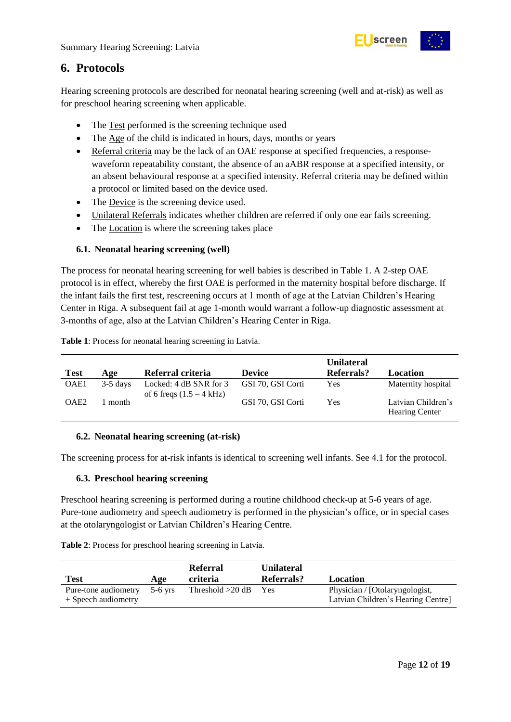

### <span id="page-11-0"></span>**6. Protocols**

Hearing screening protocols are described for neonatal hearing screening (well and at-risk) as well as for preschool hearing screening when applicable.

- The Test performed is the screening technique used
- The Age of the child is indicated in hours, days, months or years
- Referral criteria may be the lack of an OAE response at specified frequencies, a responsewaveform repeatability constant, the absence of an aABR response at a specified intensity, or an absent behavioural response at a specified intensity. Referral criteria may be defined within a protocol or limited based on the device used.
- The Device is the screening device used.
- Unilateral Referrals indicates whether children are referred if only one ear fails screening.
- The Location is where the screening takes place

#### <span id="page-11-1"></span>**6.1. Neonatal hearing screening (well)**

The process for neonatal hearing screening for well babies is described in Table 1. A 2-step OAE protocol is in effect, whereby the first OAE is performed in the maternity hospital before discharge. If the infant fails the first test, rescreening occurs at 1 month of age at the Latvian Children's Hearing Center in Riga. A subsequent fail at age 1-month would warrant a follow-up diagnostic assessment at 3-months of age, also at the Latvian Children's Hearing Center in Riga.

<span id="page-11-4"></span>

| Table 1: Process for neonatal hearing screening in Latvia. |  |  |
|------------------------------------------------------------|--|--|
|                                                            |  |  |

|                  |            |                                                      |                   | <b>Unilateral</b> |                                             |
|------------------|------------|------------------------------------------------------|-------------------|-------------------|---------------------------------------------|
| <b>Test</b>      | Age        | Referral criteria                                    | <b>Device</b>     | <b>Referrals?</b> | Location                                    |
| OAE1             | $3-5$ days | Locked: 4 dB SNR for 3<br>of 6 freqs $(1.5 - 4$ kHz) | GSI 70, GSI Corti | <b>Yes</b>        | Maternity hospital                          |
| OAE <sub>2</sub> | month      |                                                      | GSI 70, GSI Corti | Yes               | Latvian Children's<br><b>Hearing Center</b> |

#### <span id="page-11-2"></span>**6.2. Neonatal hearing screening (at-risk)**

The screening process for at-risk infants is identical to screening well infants. See 4.1 for the protocol.

#### <span id="page-11-3"></span>**6.3. Preschool hearing screening**

Preschool hearing screening is performed during a routine childhood check-up at 5-6 years of age. Pure-tone audiometry and speech audiometry is performed in the physician's office, or in special cases at the otolaryngologist or Latvian Children's Hearing Centre.

<span id="page-11-5"></span>**Table 2**: Process for preschool hearing screening in Latvia.

| Test                                        | Age       | Referral<br>criteria | <b>Unilateral</b><br>Referrals? | Location                                                            |
|---------------------------------------------|-----------|----------------------|---------------------------------|---------------------------------------------------------------------|
| Pure-tone audiometry<br>+ Speech audiometry | $5-6$ vrs | Threshold $>20$ dB   | <b>Yes</b>                      | Physician / [Otolaryngologist,<br>Latvian Children's Hearing Centre |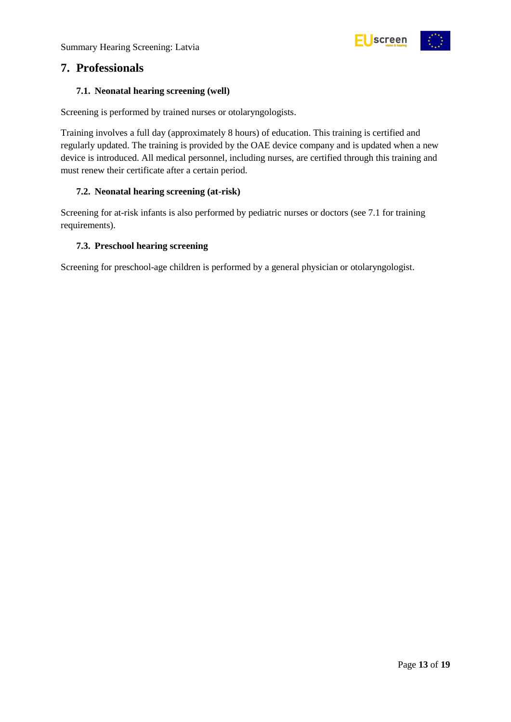

### <span id="page-12-0"></span>**7. Professionals**

#### <span id="page-12-1"></span>**7.1. Neonatal hearing screening (well)**

Screening is performed by trained nurses or otolaryngologists.

Training involves a full day (approximately 8 hours) of education. This training is certified and regularly updated. The training is provided by the OAE device company and is updated when a new device is introduced. All medical personnel, including nurses, are certified through this training and must renew their certificate after a certain period.

#### <span id="page-12-2"></span>**7.2. Neonatal hearing screening (at-risk)**

Screening for at-risk infants is also performed by pediatric nurses or doctors (see 7.1 for training requirements).

#### <span id="page-12-3"></span>**7.3. Preschool hearing screening**

Screening for preschool-age children is performed by a general physician or otolaryngologist.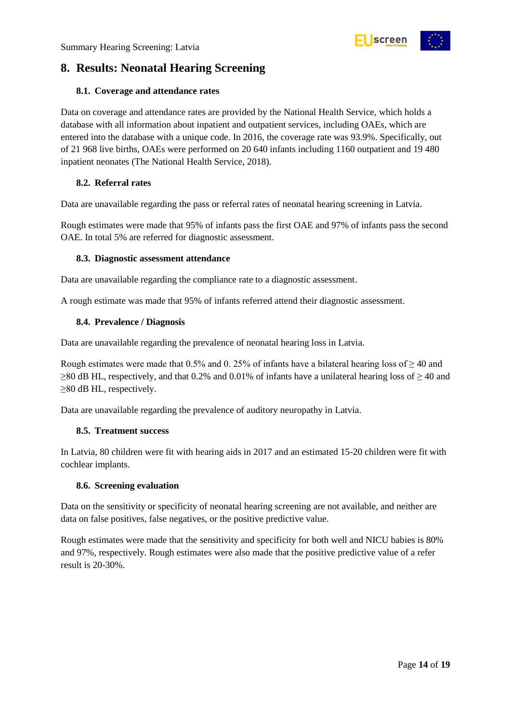<span id="page-13-0"></span>

#### <span id="page-13-1"></span>**8.1. Coverage and attendance rates**

Data on coverage and attendance rates are provided by the National Health Service, which holds a database with all information about inpatient and outpatient services, including OAEs, which are entered into the database with a unique code. In 2016, the coverage rate was 93.9%. Specifically, out of 21 968 live births, OAEs were performed on 20 640 infants including 1160 outpatient and 19 480 inpatient neonates (The National Health Service, 2018).

screen

#### <span id="page-13-2"></span>**8.2. Referral rates**

Data are unavailable regarding the pass or referral rates of neonatal hearing screening in Latvia.

Rough estimates were made that 95% of infants pass the first OAE and 97% of infants pass the second OAE. In total 5% are referred for diagnostic assessment.

#### <span id="page-13-3"></span>**8.3. Diagnostic assessment attendance**

Data are unavailable regarding the compliance rate to a diagnostic assessment.

A rough estimate was made that 95% of infants referred attend their diagnostic assessment.

#### <span id="page-13-4"></span>**8.4. Prevalence / Diagnosis**

Data are unavailable regarding the prevalence of neonatal hearing loss in Latvia.

Rough estimates were made that 0.5% and 0. 25% of infants have a bilateral hearing loss of  $\geq$  40 and  $\geq$ 80 dB HL, respectively, and that 0.2% and 0.01% of infants have a unilateral hearing loss of  $\geq$  40 and ≥80 dB HL, respectively.

Data are unavailable regarding the prevalence of auditory neuropathy in Latvia.

#### <span id="page-13-5"></span>**8.5. Treatment success**

In Latvia, 80 children were fit with hearing aids in 2017 and an estimated 15-20 children were fit with cochlear implants.

#### <span id="page-13-6"></span>**8.6. Screening evaluation**

Data on the sensitivity or specificity of neonatal hearing screening are not available, and neither are data on false positives, false negatives, or the positive predictive value.

Rough estimates were made that the sensitivity and specificity for both well and NICU babies is 80% and 97%, respectively. Rough estimates were also made that the positive predictive value of a refer result is 20-30%.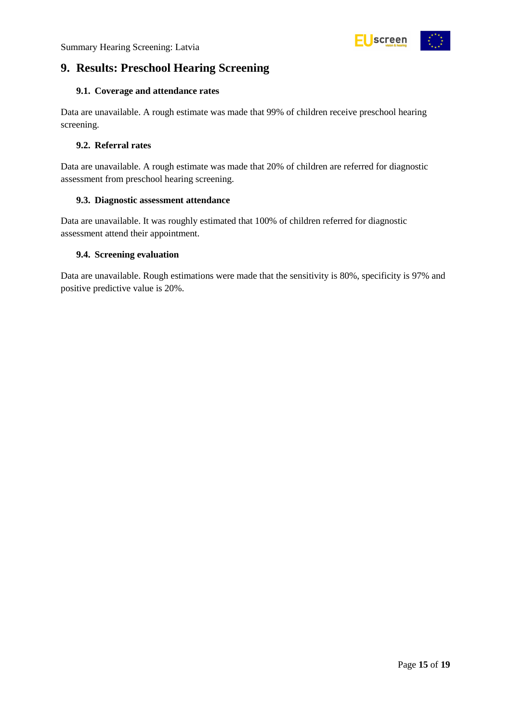

### <span id="page-14-0"></span>**9. Results: Preschool Hearing Screening**

#### <span id="page-14-1"></span>**9.1. Coverage and attendance rates**

Data are unavailable. A rough estimate was made that 99% of children receive preschool hearing screening.

#### <span id="page-14-2"></span>**9.2. Referral rates**

Data are unavailable. A rough estimate was made that 20% of children are referred for diagnostic assessment from preschool hearing screening.

#### <span id="page-14-3"></span>**9.3. Diagnostic assessment attendance**

Data are unavailable. It was roughly estimated that 100% of children referred for diagnostic assessment attend their appointment.

#### <span id="page-14-4"></span>**9.4. Screening evaluation**

Data are unavailable. Rough estimations were made that the sensitivity is 80%, specificity is 97% and positive predictive value is 20%.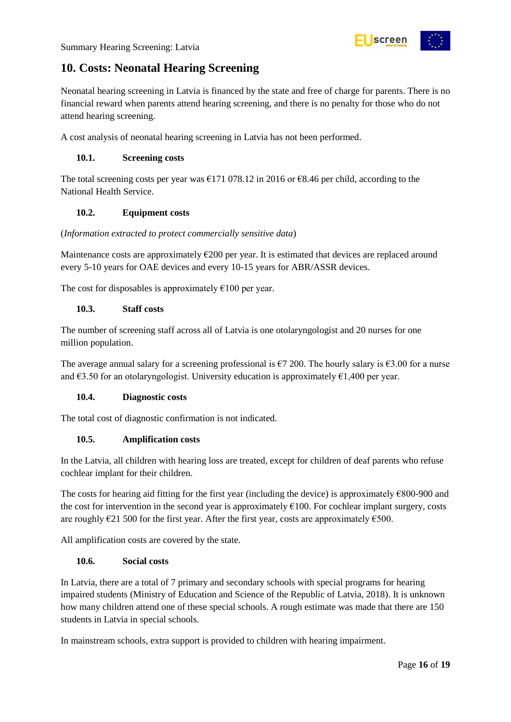

### <span id="page-15-0"></span>**10. Costs: Neonatal Hearing Screening**

Neonatal hearing screening in Latvia is financed by the state and free of charge for parents. There is no financial reward when parents attend hearing screening, and there is no penalty for those who do not attend hearing screening.

A cost analysis of neonatal hearing screening in Latvia has not been performed.

#### <span id="page-15-1"></span>**10.1. Screening costs**

The total screening costs per year was €171 078.12 in 2016 or €8.46 per child, according to the National Health Service.

#### <span id="page-15-2"></span>**10.2. Equipment costs**

#### (*Information extracted to protect commercially sensitive data*)

Maintenance costs are approximately  $\epsilon$ 200 per year. It is estimated that devices are replaced around every 5-10 years for OAE devices and every 10-15 years for ABR/ASSR devices.

The cost for disposables is approximately  $\epsilon$ 100 per year.

#### <span id="page-15-3"></span>**10.3. Staff costs**

The number of screening staff across all of Latvia is one otolaryngologist and 20 nurses for one million population.

The average annual salary for a screening professional is  $\epsilon$ 7 200. The hourly salary is  $\epsilon$ 3.00 for a nurse and  $\epsilon$ 3.50 for an otolaryngologist. University education is approximately  $\epsilon$ 1,400 per year.

#### <span id="page-15-4"></span>**10.4. Diagnostic costs**

The total cost of diagnostic confirmation is not indicated.

#### <span id="page-15-5"></span>**10.5. Amplification costs**

In the Latvia, all children with hearing loss are treated, except for children of deaf parents who refuse cochlear implant for their children.

The costs for hearing aid fitting for the first year (including the device) is approximately €800-900 and the cost for intervention in the second year is approximately  $E100$ . For cochlear implant surgery, costs are roughly  $\epsilon$ 21 500 for the first year. After the first year, costs are approximately  $\epsilon$ 500.

All amplification costs are covered by the state.

#### <span id="page-15-6"></span>**10.6. Social costs**

In Latvia, there are a total of 7 primary and secondary schools with special programs for hearing impaired students (Ministry of Education and Science of the Republic of Latvia, 2018). It is unknown how many children attend one of these special schools. A rough estimate was made that there are 150 students in Latvia in special schools.

In mainstream schools, extra support is provided to children with hearing impairment.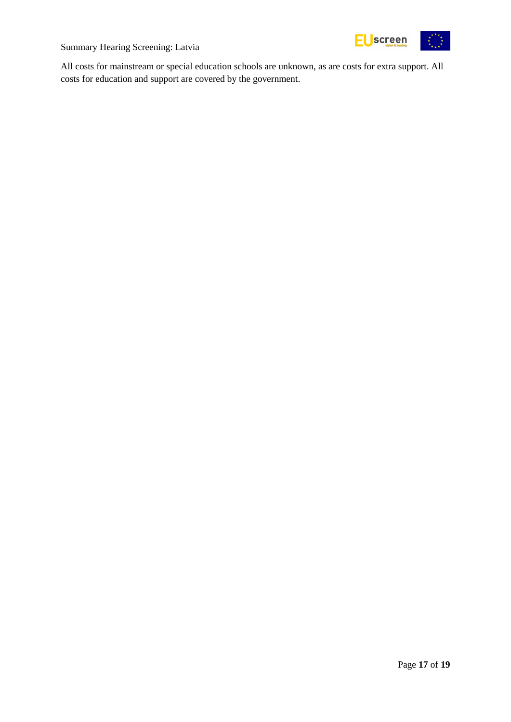

All costs for mainstream or special education schools are unknown, as are costs for extra support. All costs for education and support are covered by the government.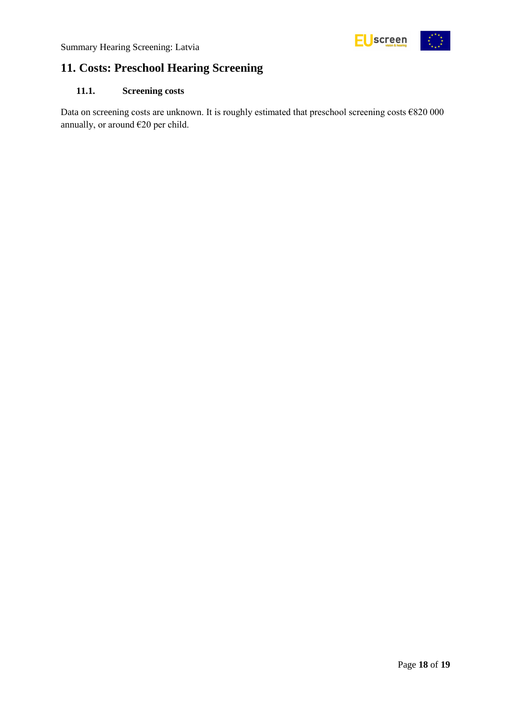

### <span id="page-17-0"></span>**11. Costs: Preschool Hearing Screening**

#### <span id="page-17-1"></span>**11.1. Screening costs**

Data on screening costs are unknown. It is roughly estimated that preschool screening costs €820 000 annually, or around €20 per child.